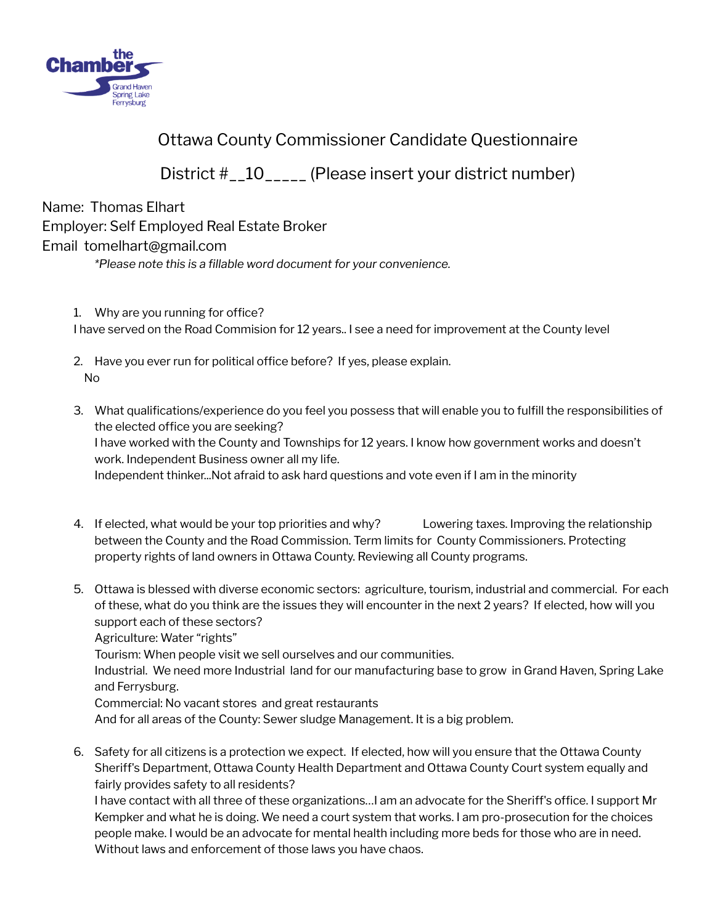

## Ottawa County Commissioner Candidate Questionnaire

District #\_\_10\_\_\_\_\_ (Please insert your district number)

Name: Thomas Elhart Employer: Self Employed Real Estate Broker Email tomelhart@gmail.com

*\*Please note this is a fillable word document for your convenience.*

- 1. Why are you running for office? I have served on the Road Commision for 12 years.. I see a need for improvement at the County level
- 2. Have you ever run for political office before? If yes, please explain. No
- 3. What qualifications/experience do you feel you possess that will enable you to fulfill the responsibilities of the elected office you are seeking? I have worked with the County and Townships for 12 years. I know how government works and doesn't work. Independent Business owner all my life. Independent thinker...Not afraid to ask hard questions and vote even if I am in the minority
- 4. If elected, what would be your top priorities and why? Lowering taxes. Improving the relationship between the County and the Road Commission. Term limits for County Commissioners. Protecting property rights of land owners in Ottawa County. Reviewing all County programs.
- 5. Ottawa is blessed with diverse economic sectors: agriculture, tourism, industrial and commercial. For each of these, what do you think are the issues they will encounter in the next 2 years? If elected, how will you support each of these sectors? Agriculture: Water "rights"

Tourism: When people visit we sell ourselves and our communities.

Industrial. We need more Industrial land for our manufacturing base to grow in Grand Haven, Spring Lake and Ferrysburg.

Commercial: No vacant stores and great restaurants

And for all areas of the County: Sewer sludge Management. It is a big problem.

6. Safety for all citizens is a protection we expect. If elected, how will you ensure that the Ottawa County Sheriff's Department, Ottawa County Health Department and Ottawa County Court system equally and fairly provides safety to all residents?

I have contact with all three of these organizations…I am an advocate for the Sheriff's office. I support Mr Kempker and what he is doing. We need a court system that works. I am pro-prosecution for the choices people make. I would be an advocate for mental health including more beds for those who are in need. Without laws and enforcement of those laws you have chaos.